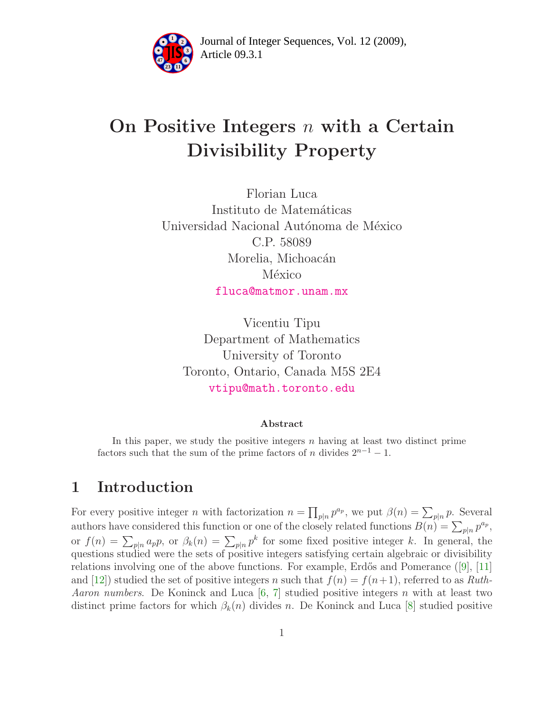

Article 09.3.1 **<sup>2</sup>** Journal of Integer Sequences, Vol. 12 (2009),

# On Positive Integers  $n$  with a Certain Divisibility Property

Florian Luca Instituto de Matemáticas Universidad Nacional Autónoma de México C.P. 58089 Morelia, Michoacán México [fluca@matmor.unam.mx](mailto:fluca@matmor.unam.mx)

Vicentiu Tipu Department of Mathematics University of Toronto Toronto, Ontario, Canada M5S 2E4 [vtipu@math.toronto.edu](mailto:vtipu@math.toronto.edu)

#### Abstract

In this paper, we study the positive integers  $n$  having at least two distinct prime factors such that the sum of the prime factors of n divides  $2^{n-1} - 1$ .

## 1 Introduction

For every positive integer *n* with factorization  $n = \prod_{p|n} p^{a_p}$ , we put  $\beta(n) = \sum_{p|n} p$ . Several authors have considered this function or one of the closely related functions  $B(n) = \sum_{p|n} p^{a_p}$ , or  $f(n) = \sum_{p|n} a_p p$ , or  $\beta_k(n) = \sum_{p|n} p^k$  for some fixed positive integer k. In general, the questions studied were the sets of positive integers satisfying certain algebraic or divisibility relations involving one of the above functions. For example, Erdős and Pomerance  $(9, 11]$ and [\[12\]](#page-10-2)) studied the set of positive integers n such that  $f(n) = f(n+1)$ , referred to as Ruth-*Aaron numbers.* De Koninck and Luca [\[6,](#page-9-0) [7\]](#page-9-1) studied positive integers n with at least two distinct prime factors for which  $\beta_k(n)$  divides n. De Koninck and Luca [\[8\]](#page-9-2) studied positive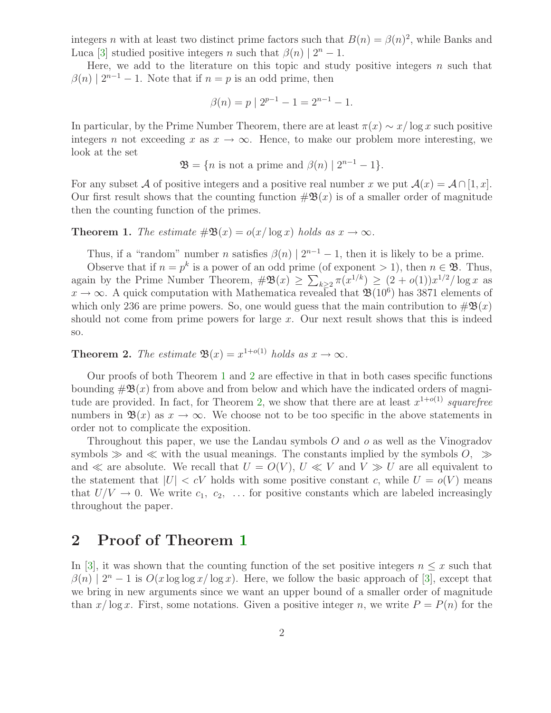integers n with at least two distinct prime factors such that  $B(n) = \beta(n)^2$ , while Banks and Luca [\[3\]](#page-9-3) studied positive integers n such that  $\beta(n) | 2^n - 1$ .

Here, we add to the literature on this topic and study positive integers  $n$  such that  $\beta(n) | 2^{n-1} - 1$ . Note that if  $n = p$  is an odd prime, then

$$
\beta(n) = p \mid 2^{p-1} - 1 = 2^{n-1} - 1.
$$

In particular, by the Prime Number Theorem, there are at least  $\pi(x) \sim x/\log x$  such positive integers n not exceeding x as  $x \to \infty$ . Hence, to make our problem more interesting, we look at the set

$$
\mathfrak{B} = \{ n \text{ is not a prime and } \beta(n) \mid 2^{n-1} - 1 \}.
$$

For any subset A of positive integers and a positive real number x we put  $\mathcal{A}(x) = \mathcal{A} \cap [1, x]$ . Our first result shows that the counting function  $\#\mathfrak{B}(x)$  is of a smaller order of magnitude then the counting function of the primes.

#### <span id="page-1-0"></span>**Theorem 1.** The estimate  $\#\mathfrak{B}(x) = o(x/\log x)$  holds as  $x \to \infty$ .

Thus, if a "random" number *n* satisfies  $\beta(n) | 2^{n-1} - 1$ , then it is likely to be a prime.

Observe that if  $n = p^k$  is a power of an odd prime (of exponent > 1), then  $n \in \mathcal{B}$ . Thus, again by the Prime Number Theorem,  $\#\mathfrak{B}(x) \geq \sum_{k\geq 2} \pi(x^{1/k}) \geq (2+o(1))x^{1/2}/\log x$  as  $x \to \infty$ . A quick computation with Mathematica revealed that  $\mathfrak{B}(10^6)$  has 3871 elements of which only 236 are prime powers. So, one would guess that the main contribution to  $\#\mathfrak{B}(x)$ should not come from prime powers for large  $x$ . Our next result shows that this is indeed so.

<span id="page-1-1"></span>**Theorem 2.** The estimate  $\mathfrak{B}(x) = x^{1+o(1)}$  holds as  $x \to \infty$ .

Our proofs of both Theorem [1](#page-1-0) and [2](#page-1-1) are effective in that in both cases specific functions bounding  $\#\mathfrak{B}(x)$  from above and from below and which have the indicated orders of magni-tude are provided. In fact, for Theorem [2,](#page-1-1) we show that there are at least  $x^{1+o(1)}$  squarefree numbers in  $\mathfrak{B}(x)$  as  $x \to \infty$ . We choose not to be too specific in the above statements in order not to complicate the exposition.

Throughout this paper, we use the Landau symbols O and o as well as the Vinogradov symbols  $\gg$  and  $\ll$  with the usual meanings. The constants implied by the symbols  $O$ ,  $\gg$ and  $\ll$  are absolute. We recall that  $U = O(V)$ ,  $U \ll V$  and  $V \gg U$  are all equivalent to the statement that  $|U| < cV$  holds with some positive constant c, while  $U = o(V)$  means that  $U/V \rightarrow 0$ . We write  $c_1, c_2, \ldots$  for positive constants which are labeled increasingly throughout the paper.

### 2 Proof of Theorem [1](#page-1-0)

In [\[3\]](#page-9-3), it was shown that the counting function of the set positive integers  $n \leq x$  such that  $\beta(n) | 2^n - 1$  is  $O(x \log \log x / \log x)$ . Here, we follow the basic approach of [\[3\]](#page-9-3), except that we bring in new arguments since we want an upper bound of a smaller order of magnitude than  $x/\log x$ . First, some notations. Given a positive integer n, we write  $P = P(n)$  for the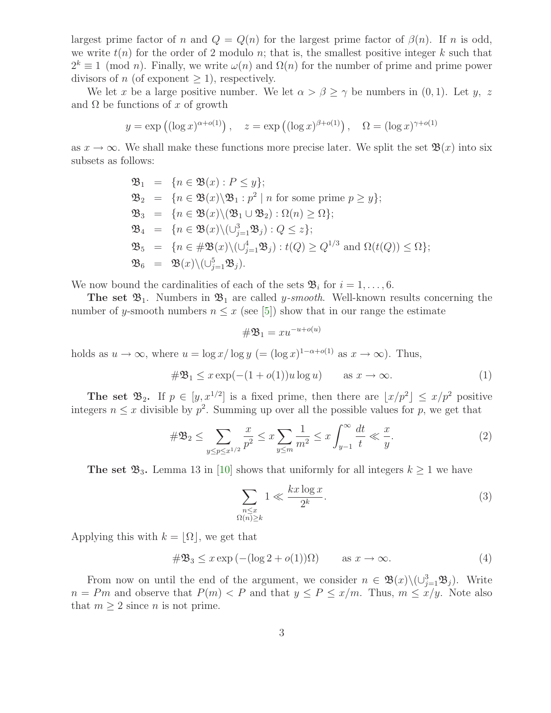largest prime factor of n and  $Q = Q(n)$  for the largest prime factor of  $\beta(n)$ . If n is odd, we write  $t(n)$  for the order of 2 modulo n; that is, the smallest positive integer k such that  $2^k \equiv 1 \pmod{n}$ . Finally, we write  $\omega(n)$  and  $\Omega(n)$  for the number of prime and prime power divisors of n (of exponent  $\geq$  1), respectively.

We let x be a large positive number. We let  $\alpha > \beta \geq \gamma$  be numbers in  $(0, 1)$ . Let y, z and  $\Omega$  be functions of x of growth

$$
y = \exp((\log x)^{\alpha + o(1)}), \quad z = \exp((\log x)^{\beta + o(1)}), \quad \Omega = (\log x)^{\gamma + o(1)}
$$

as  $x \to \infty$ . We shall make these functions more precise later. We split the set  $\mathfrak{B}(x)$  into six subsets as follows:

$$
\mathfrak{B}_1 = \{n \in \mathfrak{B}(x) : P \leq y\};
$$
\n
$$
\mathfrak{B}_2 = \{n \in \mathfrak{B}(x) \setminus \mathfrak{B}_1 : p^2 \mid n \text{ for some prime } p \geq y\};
$$
\n
$$
\mathfrak{B}_3 = \{n \in \mathfrak{B}(x) \setminus (\mathfrak{B}_1 \cup \mathfrak{B}_2) : \Omega(n) \geq \Omega\};
$$
\n
$$
\mathfrak{B}_4 = \{n \in \mathfrak{B}(x) \setminus (\cup_{j=1}^3 \mathfrak{B}_j) : Q \leq z\};
$$
\n
$$
\mathfrak{B}_5 = \{n \in \# \mathfrak{B}(x) \setminus (\cup_{j=1}^4 \mathfrak{B}_j) : t(Q) \geq Q^{1/3} \text{ and } \Omega(t(Q)) \leq \Omega\};
$$
\n
$$
\mathfrak{B}_6 = \mathfrak{B}(x) \setminus (\cup_{j=1}^5 \mathfrak{B}_j).
$$

We now bound the cardinalities of each of the sets  $\mathfrak{B}_i$  for  $i = 1, \ldots, 6$ .

**The set**  $\mathfrak{B}_1$ . Numbers in  $\mathfrak{B}_1$  are called *y-smooth*. Well-known results concerning the number of y-smooth numbers  $n \leq x$  (see [\[5\]](#page-9-4)) show that in our range the estimate

<span id="page-2-2"></span><span id="page-2-1"></span>
$$
\#\mathfrak{B}_1 = xu^{-u+o(u)}
$$

holds as  $u \to \infty$ , where  $u = \log x / \log y$  (=  $(\log x)^{1-\alpha + o(1)}$  as  $x \to \infty$ ). Thus,

$$
\#\mathfrak{B}_1 \le x \exp(-(1 + o(1))u \log u) \qquad \text{as } x \to \infty. \tag{1}
$$

The set  $\mathfrak{B}_2$ . If  $p \in [y, x^{1/2}]$  is a fixed prime, then there are  $\lfloor x/p^2 \rfloor \leq x/p^2$  positive integers  $n \leq x$  divisible by  $p^2$ . Summing up over all the possible values for p, we get that

$$
\#\mathfrak{B}_2 \le \sum_{y \le p \le x^{1/2}} \frac{x}{p^2} \le x \sum_{y \le m} \frac{1}{m^2} \le x \int_{y-1}^{\infty} \frac{dt}{t} \ll \frac{x}{y}.
$$
 (2)

The set  $\mathfrak{B}_3$ . Lemma 13 in [\[10\]](#page-10-3) shows that uniformly for all integers  $k \geq 1$  we have

<span id="page-2-0"></span>
$$
\sum_{\substack{n \le x \\ \Omega(n) \ge k}} 1 \ll \frac{kx \log x}{2^k}.
$$
\n(3)

Applying this with  $k = |\Omega|$ , we get that

<span id="page-2-3"></span>
$$
\#\mathfrak{B}_3 \le x \exp\left(-(\log 2 + o(1))\Omega\right) \qquad \text{as } x \to \infty. \tag{4}
$$

From now on until the end of the argument, we consider  $n \in \mathfrak{B}(x) \setminus (\cup_{j=1}^3 \mathfrak{B}_j)$ . Write  $n = Pm$  and observe that  $P(m) < P$  and that  $y \le P \le x/m$ . Thus,  $m \le x/y$ . Note also that  $m \geq 2$  since *n* is not prime.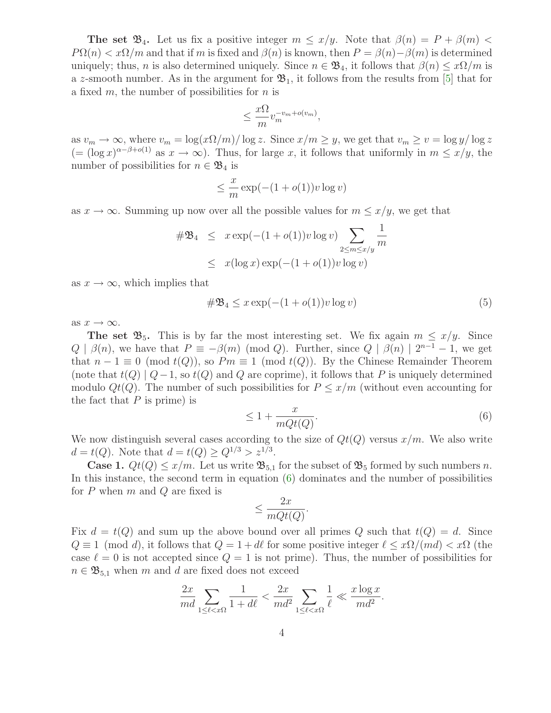**The set**  $\mathfrak{B}_4$ **.** Let us fix a positive integer  $m \leq x/y$ . Note that  $\beta(n) = P + \beta(m)$  $P\Omega(n) < x\Omega/m$  and that if m is fixed and  $\beta(n)$  is known, then  $P = \beta(n) - \beta(m)$  is determined uniquely; thus, n is also determined uniquely. Since  $n \in \mathfrak{B}_4$ , it follows that  $\beta(n) \leq x\Omega/m$  is a z-smooth number. As in the argument for  $\mathfrak{B}_1$ , it follows from the results from [\[5\]](#page-9-4) that for a fixed  $m$ , the number of possibilities for  $n$  is

$$
\leq \frac{x\Omega}{m} v_m^{-v_m+o(v_m)},
$$

as  $v_m \to \infty$ , where  $v_m = \log(x\Omega/m)/\log z$ . Since  $x/m \geq y$ , we get that  $v_m \geq v = \log y/\log z$  $(=(\log x)^{\alpha-\beta+o(1)}$  as  $x\to\infty$ ). Thus, for large x, it follows that uniformly in  $m\leq x/y$ , the number of possibilities for  $n \in \mathfrak{B}_4$  is

$$
\leq \frac{x}{m} \exp(-(1 + o(1))v \log v)
$$

as  $x \to \infty$ . Summing up now over all the possible values for  $m \leq x/y$ , we get that

<span id="page-3-1"></span>
$$
\#\mathfrak{B}_4 \leq x \exp(-(1 + o(1))v \log v) \sum_{2 \leq m \leq x/y} \frac{1}{m}
$$
  
 
$$
\leq x(\log x) \exp(-(1 + o(1))v \log v)
$$

as  $x \to \infty$ , which implies that

$$
\#\mathfrak{B}_4 \le x \exp(-(1 + o(1))v \log v) \tag{5}
$$

as  $x \to \infty$ .

<span id="page-3-0"></span>**The set**  $\mathfrak{B}_5$ **.** This is by far the most interesting set. We fix again  $m \leq x/y$ . Since  $Q | \beta(n)$ , we have that  $P \equiv -\beta(m) \pmod{Q}$ . Further, since  $Q | \beta(n) | 2^{n-1} - 1$ , we get that  $n-1 \equiv 0 \pmod{t(Q)}$ , so  $Pm \equiv 1 \pmod{t(Q)}$ . By the Chinese Remainder Theorem (note that  $t(Q) | Q-1$ , so  $t(Q)$  and Q are coprime), it follows that P is uniquely determined modulo  $Qt(Q)$ . The number of such possibilities for  $P \leq x/m$  (without even accounting for the fact that  $P$  is prime) is

$$
\leq 1 + \frac{x}{mQt(Q)}.\tag{6}
$$

We now distinguish several cases according to the size of  $Qt(Q)$  versus  $x/m$ . We also write  $d = t(Q)$ . Note that  $d = t(Q) \ge Q^{1/3} > z^{1/3}$ .

**Case 1.**  $Qt(Q) \leq x/m$ . Let us write  $\mathfrak{B}_{5,1}$  for the subset of  $\mathfrak{B}_5$  formed by such numbers n. In this instance, the second term in equation [\(6\)](#page-3-0) dominates and the number of possibilities for  $P$  when  $m$  and  $Q$  are fixed is

$$
\leq \frac{2x}{mQt(Q)}.
$$

Fix  $d = t(Q)$  and sum up the above bound over all primes Q such that  $t(Q) = d$ . Since  $Q \equiv 1 \pmod{d}$ , it follows that  $Q = 1 + d\ell$  for some positive integer  $\ell \leq x\Omega/(md) < x\Omega$  (the case  $\ell = 0$  is not accepted since  $Q = 1$  is not prime). Thus, the number of possibilities for  $n \in \mathfrak{B}_{5,1}$  when m and d are fixed does not exceed

$$
\frac{2x}{md} \sum_{1 \le \ell < x \Omega} \frac{1}{1 + d\ell} < \frac{2x}{md^2} \sum_{1 \le \ell < x \Omega} \frac{1}{\ell} \ll \frac{x \log x}{md^2}.
$$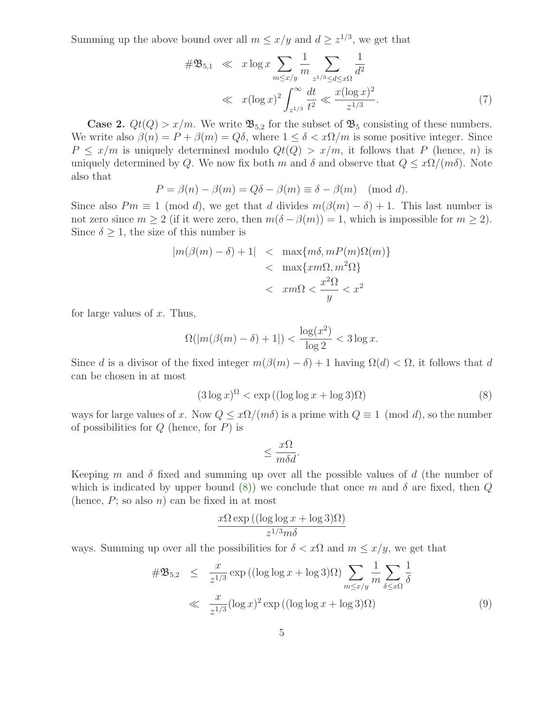<span id="page-4-1"></span>Summing up the above bound over all  $m \leq x/y$  and  $d \geq z^{1/3}$ , we get that

$$
\#\mathfrak{B}_{5,1} \ll x \log x \sum_{m \le x/y} \frac{1}{m} \sum_{z^{1/3} \le d \le x\Omega} \frac{1}{d^2}
$$
  

$$
\ll x (\log x)^2 \int_{z^{1/3}}^{\infty} \frac{dt}{t^2} \ll \frac{x (\log x)^2}{z^{1/3}}.
$$
 (7)

**Case 2.**  $Qt(Q) > x/m$ . We write  $\mathfrak{B}_{5,2}$  for the subset of  $\mathfrak{B}_5$  consisting of these numbers. We write also  $\beta(n) = P + \beta(m) = Q\delta$ , where  $1 \leq \delta < x\Omega/m$  is some positive integer. Since  $P \leq x/m$  is uniquely determined modulo  $Qt(Q) > x/m$ , it follows that P (hence, n) is uniquely determined by Q. We now fix both m and  $\delta$  and observe that  $Q \leq x\Omega/(m\delta)$ . Note also that

$$
P = \beta(n) - \beta(m) = Q\delta - \beta(m) \equiv \delta - \beta(m) \pmod{d}.
$$

Since also  $Pm \equiv 1 \pmod{d}$ , we get that d divides  $m(\beta(m) - \delta) + 1$ . This last number is not zero since  $m \geq 2$  (if it were zero, then  $m(\delta - \beta(m)) = 1$ , which is impossible for  $m \geq 2$ ). Since  $\delta \geq 1$ , the size of this number is

$$
|m(\beta(m) - \delta) + 1| < \max\{m\delta, mP(m)\Omega(m)\} < \max\{xm\Omega, m^2\Omega\} < \max\{2\Omega, m^2\Omega\} < \frac{x^2\Omega}{y} < x^2
$$

for large values of  $x$ . Thus,

$$
\Omega(|m(\beta(m)-\delta)+1|) < \frac{\log(x^2)}{\log 2} < 3\log x.
$$

<span id="page-4-0"></span>Since d is a divisor of the fixed integer  $m(\beta(m) - \delta) + 1$  having  $\Omega(d) < \Omega$ , it follows that d can be chosen in at most

$$
(3\log x)^{\Omega} < \exp\left((\log\log x + \log 3)\Omega\right) \tag{8}
$$

ways for large values of x. Now  $Q \leq x\Omega/(m\delta)$  is a prime with  $Q \equiv 1 \pmod{d}$ , so the number of possibilities for  $Q$  (hence, for  $P$ ) is

$$
\leq \frac{x\Omega}{m\delta d}.
$$

Keeping m and  $\delta$  fixed and summing up over all the possible values of d (the number of which is indicated by upper bound [\(8\)](#page-4-0)) we conclude that once m and  $\delta$  are fixed, then Q (hence,  $P$ ; so also  $n$ ) can be fixed in at most

$$
\frac{x\Omega\exp((\log\log x + \log 3)\Omega)}{z^{1/3}m\delta}
$$

<span id="page-4-2"></span>ways. Summing up over all the possibilities for  $\delta < x\Omega$  and  $m \leq x/y$ , we get that

$$
\#\mathfrak{B}_{5,2} \leq \frac{x}{z^{1/3}} \exp\left((\log\log x + \log 3)\Omega\right) \sum_{m \leq x/y} \frac{1}{m} \sum_{\delta \leq x\Omega} \frac{1}{\delta}
$$
  

$$
\ll \frac{x}{z^{1/3}} (\log x)^2 \exp\left((\log\log x + \log 3)\Omega\right) \tag{9}
$$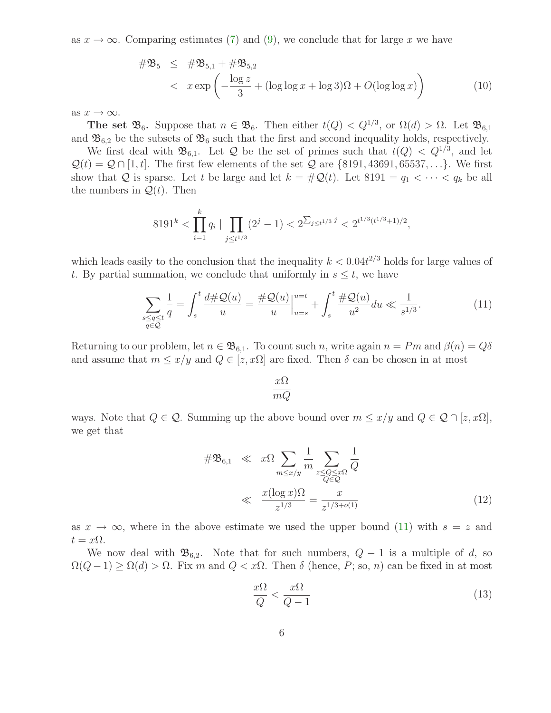<span id="page-5-3"></span>as  $x \to \infty$ . Comparing estimates [\(7\)](#page-4-1) and [\(9\)](#page-4-2), we conclude that for large x we have

$$
\#\mathfrak{B}_5 \leq \#\mathfrak{B}_{5,1} + \#\mathfrak{B}_{5,2}
$$
  

$$
< x \exp\left(-\frac{\log z}{3} + (\log \log x + \log 3)\Omega + O(\log \log x)\right)
$$
 (10)

as  $x \to \infty$ .

The set  $\mathfrak{B}_6$ . Suppose that  $n \in \mathfrak{B}_6$ . Then either  $t(Q) < Q^{1/3}$ , or  $\Omega(d) > \Omega$ . Let  $\mathfrak{B}_{6,1}$ and  $\mathfrak{B}_{6,2}$  be the subsets of  $\mathfrak{B}_6$  such that the first and second inequality holds, respectively.

We first deal with  $\mathfrak{B}_{6,1}$ . Let Q be the set of primes such that  $t(Q) < Q^{1/3}$ , and let  $\mathcal{Q}(t) = \mathcal{Q} \cap [1, t]$ . The first few elements of the set  $\mathcal{Q}$  are {8191, 43691, 65537, ...}. We first show that Q is sparse. Let t be large and let  $k = #Q(t)$ . Let  $8191 = q_1 < \cdots < q_k$  be all the numbers in  $\mathcal{Q}(t)$ . Then

$$
8191^{k} < \prod_{i=1}^{k} q_i \mid \prod_{j \le t^{1/3}} (2^j - 1) < 2^{\sum_{j \le t^{1/3}} j} < 2^{t^{1/3} (t^{1/3} + 1)/2},
$$

which leads easily to the conclusion that the inequality  $k < 0.04t^{2/3}$  holds for large values of t. By partial summation, we conclude that uniformly in  $s \leq t$ , we have

$$
\sum_{\substack{s \le q \le t \\ q \in \mathcal{Q}}} \frac{1}{q} = \int_s^t \frac{d \# \mathcal{Q}(u)}{u} = \frac{\# \mathcal{Q}(u)}{u} \Big|_{u=s}^{u=t} + \int_s^t \frac{\# \mathcal{Q}(u)}{u^2} du \ll \frac{1}{s^{1/3}}.
$$
(11)

Returning to our problem, let  $n \in \mathfrak{B}_{6,1}$ . To count such n, write again  $n = Pm$  and  $\beta(n) = Q\delta$ and assume that  $m \le x/y$  and  $Q \in [z, x\Omega]$  are fixed. Then  $\delta$  can be chosen in at most

<span id="page-5-0"></span>
$$
\frac{x\Omega}{mQ}
$$

ways. Note that  $Q \in \mathcal{Q}$ . Summing up the above bound over  $m \leq x/y$  and  $Q \in \mathcal{Q} \cap [z, x\Omega]$ , we get that

<span id="page-5-2"></span>
$$
\#\mathfrak{B}_{6,1} \ll x\Omega \sum_{m \le x/y} \frac{1}{m} \sum_{\substack{z \le Q \le x\Omega \\ Q \in \mathcal{Q}}} \frac{1}{Q}
$$

$$
\ll \frac{x(\log x)\Omega}{z^{1/3}} = \frac{x}{z^{1/3+o(1)}}
$$
(12)

as  $x \to \infty$ , where in the above estimate we used the upper bound [\(11\)](#page-5-0) with  $s = z$  and  $t = x\Omega$ .

<span id="page-5-1"></span>We now deal with  $\mathfrak{B}_{6,2}$ . Note that for such numbers,  $Q-1$  is a multiple of d, so  $\Omega(Q-1) \geq \Omega(d) > \Omega$ . Fix m and  $Q < x\Omega$ . Then  $\delta$  (hence, P; so, n) can be fixed in at most

$$
\frac{x\Omega}{Q} < \frac{x\Omega}{Q-1} \tag{13}
$$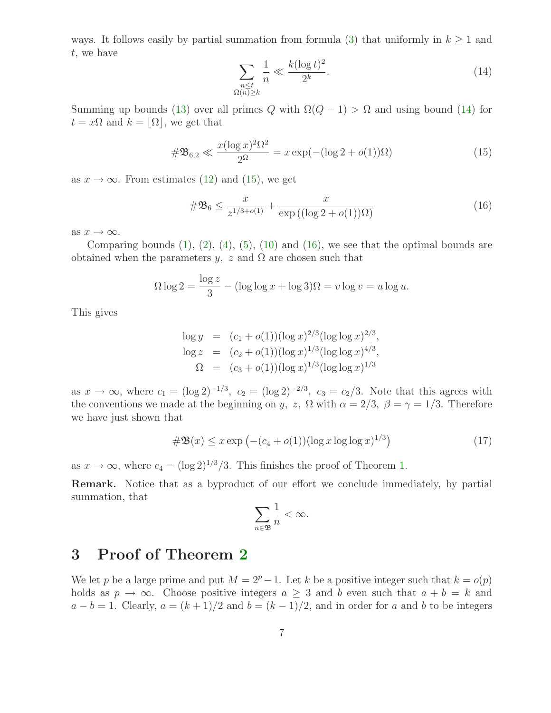<span id="page-6-0"></span>ways. It follows easily by partial summation from formula [\(3\)](#page-2-0) that uniformly in  $k \geq 1$  and t, we have  $\sqrt{2}$ 

$$
\sum_{\substack{n \le t \\ \Omega(n) \ge k}} \frac{1}{n} \ll \frac{k(\log t)^2}{2^k}.
$$
\n(14)

Summing up bounds [\(13\)](#page-5-1) over all primes Q with  $\Omega(Q-1) > \Omega$  and using bound [\(14\)](#page-6-0) for  $t = x\Omega$  and  $k = |\Omega|$ , we get that

<span id="page-6-1"></span>
$$
\#\mathfrak{B}_{6,2} \ll \frac{x(\log x)^2 \Omega^2}{2^{\Omega}} = x \exp(-(\log 2 + o(1))\Omega) \tag{15}
$$

as  $x \to \infty$ . From estimates [\(12\)](#page-5-2) and [\(15\)](#page-6-1), we get

<span id="page-6-2"></span>
$$
\#\mathfrak{B}_6 \le \frac{x}{z^{1/3 + o(1)}} + \frac{x}{\exp((\log 2 + o(1))\Omega)}\tag{16}
$$

as  $x \to \infty$ .

Comparing bounds  $(1)$ ,  $(2)$ ,  $(4)$ ,  $(5)$ ,  $(10)$  and  $(16)$ , we see that the optimal bounds are obtained when the parameters y, z and  $\Omega$  are chosen such that

$$
\Omega \log 2 = \frac{\log z}{3} - (\log \log x + \log 3)\Omega = v \log v = u \log u.
$$

This gives

$$
\log y = (c_1 + o(1))(\log x)^{2/3}(\log \log x)^{2/3},
$$
  
\n
$$
\log z = (c_2 + o(1))(\log x)^{1/3}(\log \log x)^{4/3},
$$
  
\n
$$
\Omega = (c_3 + o(1))(\log x)^{1/3}(\log \log x)^{1/3}
$$

<span id="page-6-3"></span>as  $x \to \infty$ , where  $c_1 = (\log 2)^{-1/3}$ ,  $c_2 = (\log 2)^{-2/3}$ ,  $c_3 = c_2/3$ . Note that this agrees with the conventions we made at the beginning on y, z,  $\Omega$  with  $\alpha = 2/3$ ,  $\beta = \gamma = 1/3$ . Therefore we have just shown that

$$
\# \mathfrak{B}(x) \le x \exp \left( - (c_4 + o(1)) (\log x \log \log x)^{1/3} \right) \tag{17}
$$

as  $x \to \infty$ , where  $c_4 = (\log 2)^{1/3}/3$ . This finishes the proof of Theorem [1.](#page-1-0)

Remark. Notice that as a byproduct of our effort we conclude immediately, by partial summation, that

$$
\sum_{n\in\mathfrak{B}}\frac{1}{n}<\infty.
$$

#### 3 Proof of Theorem [2](#page-1-1)

We let p be a large prime and put  $M = 2^p - 1$ . Let k be a positive integer such that  $k = o(p)$ holds as  $p \to \infty$ . Choose positive integers  $a \geq 3$  and b even such that  $a + b = k$  and  $a - b = 1$ . Clearly,  $a = (k + 1)/2$  and  $b = (k - 1)/2$ , and in order for a and b to be integers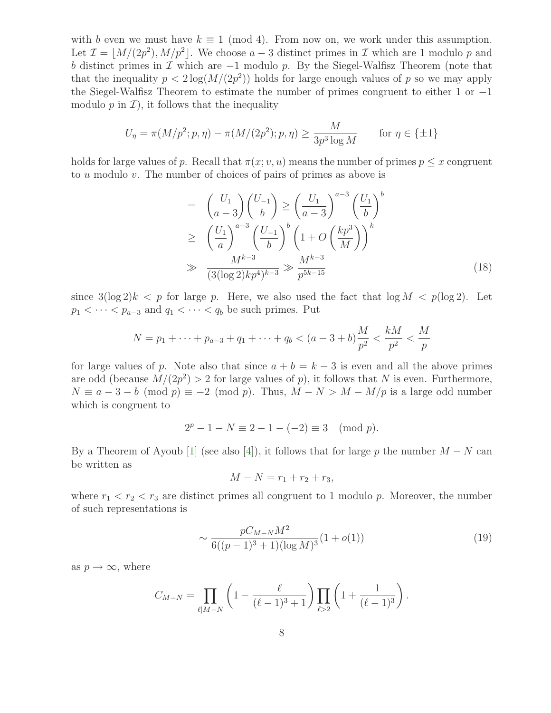with b even we must have  $k \equiv 1 \pmod{4}$ . From now on, we work under this assumption. Let  $\mathcal{I} = \lfloor M/(2p^2), M/p^2 \rfloor$ . We choose  $a-3$  distinct primes in  $\mathcal{I}$  which are 1 modulo p and b distinct primes in  $\mathcal I$  which are  $-1$  modulo p. By the Siegel-Walfisz Theorem (note that that the inequality  $p < 2 \log(M/(2p^2))$  holds for large enough values of p so we may apply the Siegel-Walfisz Theorem to estimate the number of primes congruent to either 1 or −1 modulo  $p$  in  $\mathcal{I}$ ), it follows that the inequality

$$
U_{\eta} = \pi(M/p^2; p, \eta) - \pi(M/(2p^2); p, \eta) \ge \frac{M}{3p^3 \log M} \quad \text{for } \eta \in \{\pm 1\}
$$

<span id="page-7-1"></span>holds for large values of p. Recall that  $\pi(x; v, u)$  means the number of primes  $p \leq x$  congruent to u modulo v. The number of choices of pairs of primes as above is

$$
= \begin{pmatrix} U_1 \\ a-3 \end{pmatrix} \begin{pmatrix} U_{-1} \\ b \end{pmatrix} \ge \left(\frac{U_1}{a-3}\right)^{a-3} \left(\frac{U_1}{b}\right)^b
$$
  
\n
$$
\ge \left(\frac{U_1}{a}\right)^{a-3} \left(\frac{U_{-1}}{b}\right)^b \left(1 + O\left(\frac{kp^3}{M}\right)\right)^k
$$
  
\n
$$
\gg \frac{M^{k-3}}{(3(\log 2)kp^4)^{k-3}} \gg \frac{M^{k-3}}{p^{5k-15}}
$$
 (18)

since  $3(\log 2)k < p$  for large p. Here, we also used the fact that  $\log M < p(\log 2)$ . Let  $p_1 < \cdots < p_{a-3}$  and  $q_1 < \cdots < q_b$  be such primes. Put

$$
N = p_1 + \dots + p_{a-3} + q_1 + \dots + q_b < (a-3+b)\frac{M}{p^2} < \frac{kM}{p^2} < \frac{M}{p}
$$

for large values of p. Note also that since  $a + b = k - 3$  is even and all the above primes are odd (because  $M/(2p^2) > 2$  for large values of p), it follows that N is even. Furthermore,  $N \equiv a - 3 - b \pmod{p} \equiv -2 \pmod{p}$ . Thus,  $M - N > M - M/p$  is a large odd number which is congruent to

$$
2p - 1 - N \equiv 2 - 1 - (-2) \equiv 3 \pmod{p}.
$$

By a Theorem of Ayoub [\[1\]](#page-9-5) (see also [\[4\]](#page-9-6)), it follows that for large p the number  $M - N$  can be written as

$$
M - N = r_1 + r_2 + r_3,
$$

<span id="page-7-0"></span>where  $r_1 < r_2 < r_3$  are distinct primes all congruent to 1 modulo p. Moreover, the number of such representations is

$$
\sim \frac{pC_{M-N}M^2}{6((p-1)^3+1)(\log M)^3}(1+o(1))\tag{19}
$$

as  $p \to \infty$ , where

$$
C_{M-N} = \prod_{\ell \mid M-N} \left(1 - \frac{\ell}{(\ell-1)^3 + 1}\right) \prod_{\ell > 2} \left(1 + \frac{1}{(\ell-1)^3}\right).
$$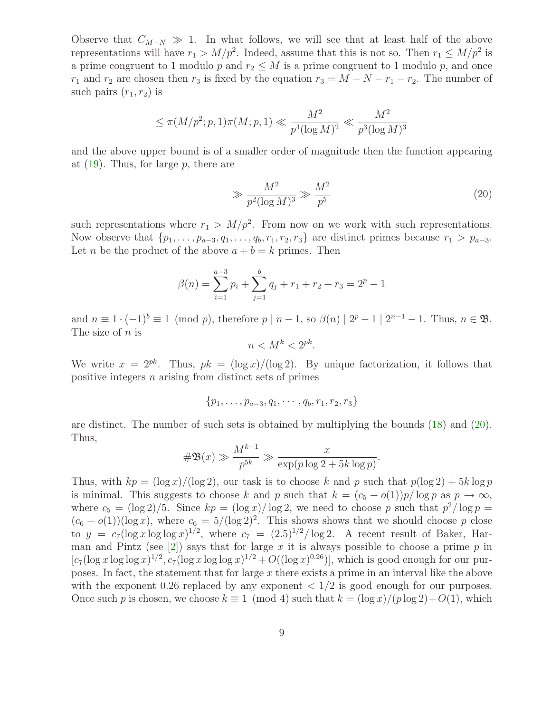Observe that  $C_{M-N} \gg 1$ . In what follows, we will see that at least half of the above representations will have  $r_1 > M/p^2$ . Indeed, assume that this is not so. Then  $r_1 \le M/p^2$  is a prime congruent to 1 modulo p and  $r_2 \leq M$  is a prime congruent to 1 modulo p, and once  $r_1$  and  $r_2$  are chosen then  $r_3$  is fixed by the equation  $r_3 = M - N - r_1 - r_2$ . The number of such pairs  $(r_1, r_2)$  is

<span id="page-8-0"></span>
$$
\leq \pi(M/p^2; p, 1)\pi(M; p, 1) \ll \frac{M^2}{p^4(\log M)^2} \ll \frac{M^2}{p^3(\log M)^3}
$$

and the above upper bound is of a smaller order of magnitude then the function appearing at  $(19)$ . Thus, for large p, there are

$$
\gg \frac{M^2}{p^2(\log M)^3} \gg \frac{M^2}{p^5} \tag{20}
$$

such representations where  $r_1 > M/p^2$ . From now on we work with such representations. Now observe that  $\{p_1, \ldots, p_{a-3}, q_1, \ldots, q_b, r_1, r_2, r_3\}$  are distinct primes because  $r_1 > p_{a-3}$ . Let *n* be the product of the above  $a + b = k$  primes. Then

$$
\beta(n) = \sum_{i=1}^{a-3} p_i + \sum_{j=1}^{b} q_j + r_1 + r_2 + r_3 = 2^p - 1
$$

and  $n \equiv 1 \cdot (-1)^b \equiv 1 \pmod{p}$ , therefore  $p | n - 1$ , so  $\beta(n) | 2^p - 1 | 2^{n-1} - 1$ . Thus,  $n \in \mathfrak{B}$ . The size of  $n$  is

$$
n < M^k < 2^{pk}.
$$

We write  $x = 2^{pk}$ . Thus,  $pk = (\log x)/(\log 2)$ . By unique factorization, it follows that positive integers n arising from distinct sets of primes

$$
\{p_1,\ldots,p_{a-3},q_1,\cdots,q_b,r_1,r_2,r_3\}
$$

are distinct. The number of such sets is obtained by multiplying the bounds [\(18\)](#page-7-1) and [\(20\)](#page-8-0). Thus,

$$
\#\mathfrak{B}(x) \gg \frac{M^{k-1}}{p^{5k}} \gg \frac{x}{\exp(p \log 2 + 5k \log p)}.
$$

Thus, with  $kp = (\log x)/(\log 2)$ , our task is to choose k and p such that  $p(\log 2) + 5k \log p$ is minimal. This suggests to choose k and p such that  $k = (c_5 + o(1))p/\log p$  as  $p \to \infty$ , where  $c_5 = (\log 2)/5$ . Since  $kp = (\log x)/\log 2$ , we need to choose p such that  $p^2/\log p =$  $(c_6 + o(1))(\log x)$ , where  $c_6 = 5/(\log 2)^2$ . This shows shows that we should choose p close to  $y = c_7(\log x \log \log x)^{1/2}$ , where  $c_7 = (2.5)^{1/2} / \log 2$ . A recent result of Baker, Har-man and Pintz (see [\[2\]](#page-9-7)) says that for large x it is always possible to choose a prime  $p$  in  $[c_7(\log x \log \log x)^{1/2}, c_7(\log x \log \log x)^{1/2} + O((\log x)^{0.26})]$ , which is good enough for our purposes. In fact, the statement that for large x there exists a prime in an interval like the above with the exponent 0.26 replaced by any exponent  $\langle 1/2 \rangle$  is good enough for our purposes. Once such p is chosen, we choose  $k \equiv 1 \pmod{4}$  such that  $k = \frac{\log x}{p \log 2} + O(1)$ , which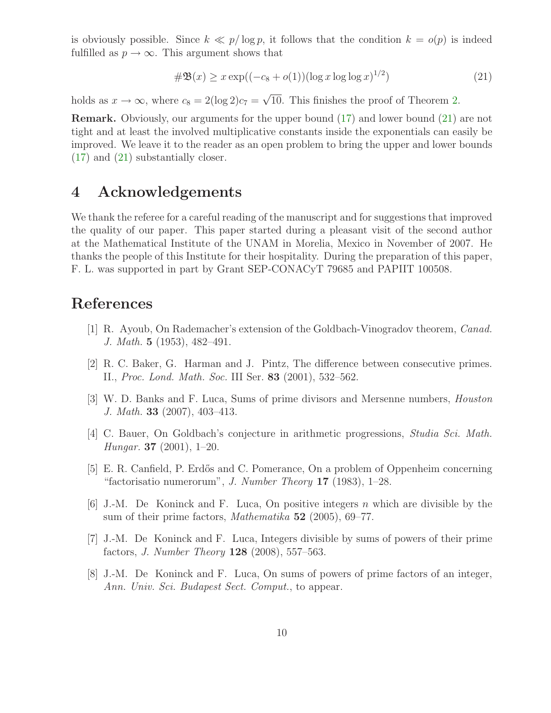is obviously possible. Since  $k \ll p/\log p$ , it follows that the condition  $k = o(p)$  is indeed fulfilled as  $p \to \infty$ . This argument shows that

<span id="page-9-8"></span>
$$
\# \mathfrak{B}(x) \ge x \exp((-c_8 + o(1))(\log x \log \log x)^{1/2})
$$
\n(21)

holds as  $x \to \infty$ , where  $c_8 = 2(\log 2)c_7 = \sqrt{10}$ . This finishes the proof of Theorem [2.](#page-1-1)

Remark. Obviously, our arguments for the upper bound [\(17\)](#page-6-3) and lower bound [\(21\)](#page-9-8) are not tight and at least the involved multiplicative constants inside the exponentials can easily be improved. We leave it to the reader as an open problem to bring the upper and lower bounds [\(17\)](#page-6-3) and [\(21\)](#page-9-8) substantially closer.

#### 4 Acknowledgements

We thank the referee for a careful reading of the manuscript and for suggestions that improved the quality of our paper. This paper started during a pleasant visit of the second author at the Mathematical Institute of the UNAM in Morelia, Mexico in November of 2007. He thanks the people of this Institute for their hospitality. During the preparation of this paper, F. L. was supported in part by Grant SEP-CONACyT 79685 and PAPIIT 100508.

## <span id="page-9-7"></span><span id="page-9-5"></span>References

- [1] R. Ayoub, On Rademacher's extension of the Goldbach-Vinogradov theorem, Canad. J. Math. 5 (1953), 482–491.
- <span id="page-9-3"></span>[2] R. C. Baker, G. Harman and J. Pintz, The difference between consecutive primes. II., Proc. Lond. Math. Soc. III Ser. 83 (2001), 532–562.
- <span id="page-9-6"></span>[3] W. D. Banks and F. Luca, Sums of prime divisors and Mersenne numbers, Houston J. Math. 33 (2007), 403–413.
- [4] C. Bauer, On Goldbach's conjecture in arithmetic progressions, Studia Sci. Math. Hungar. 37 (2001), 1–20.
- <span id="page-9-4"></span>[5] E. R. Canfield, P. Erdős and C. Pomerance, On a problem of Oppenheim concerning "factorisatio numerorum", J. Number Theory  $17$  (1983), 1–28.
- <span id="page-9-0"></span>[6] J.-M. De Koninck and F. Luca, On positive integers n which are divisible by the sum of their prime factors, *Mathematika* 52 (2005), 69–77.
- <span id="page-9-1"></span>[7] J.-M. De Koninck and F. Luca, Integers divisible by sums of powers of their prime factors, J. Number Theory 128 (2008), 557–563.
- <span id="page-9-2"></span>[8] J.-M. De Koninck and F. Luca, On sums of powers of prime factors of an integer, Ann. Univ. Sci. Budapest Sect. Comput., to appear.